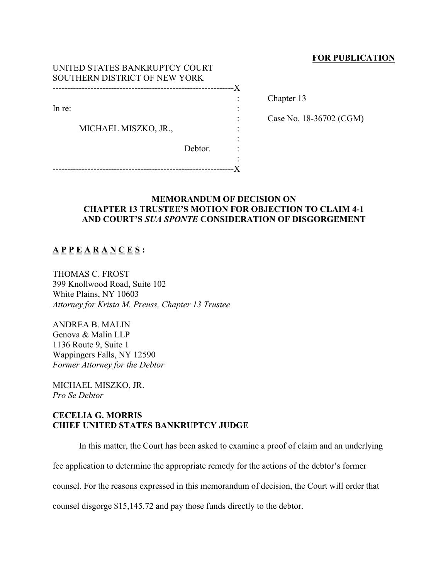## **FOR PUBLICATION**

| UNITED STATES BANKRUPTCY COURT<br>SOUTHERN DISTRICT OF NEW YORK |                      |         |    |
|-----------------------------------------------------------------|----------------------|---------|----|
|                                                                 |                      |         | -X |
|                                                                 |                      |         |    |
| In re:                                                          |                      |         |    |
|                                                                 |                      |         |    |
|                                                                 | MICHAEL MISZKO, JR., |         |    |
|                                                                 |                      |         |    |
|                                                                 |                      | Debtor. |    |
|                                                                 |                      |         |    |
|                                                                 |                      |         |    |

Chapter 13

: Case No. 18-36702 (CGM)

## **MEMORANDUM OF DECISION ON CHAPTER 13 TRUSTEE'S MOTION FOR OBJECTION TO CLAIM 4-1 AND COURT'S** *SUA SPONTE* **CONSIDERATION OF DISGORGEMENT**

## **A P P E A R A N C E S :**

THOMAS C. FROST 399 Knollwood Road, Suite 102 White Plains, NY 10603 *Attorney for Krista M. Preuss, Chapter 13 Trustee*

ANDREA B. MALIN Genova & Malin LLP 1136 Route 9, Suite 1 Wappingers Falls, NY 12590 *Former Attorney for the Debtor*

MICHAEL MISZKO, JR. *Pro Se Debtor*

## **CECELIA G. MORRIS CHIEF UNITED STATES BANKRUPTCY JUDGE**

In this matter, the Court has been asked to examine a proof of claim and an underlying

fee application to determine the appropriate remedy for the actions of the debtor's former

counsel. For the reasons expressed in this memorandum of decision, the Court will order that

counsel disgorge \$15,145.72 and pay those funds directly to the debtor.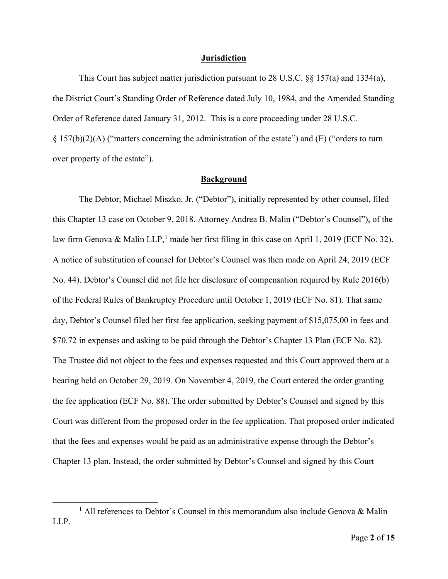#### **Jurisdiction**

This Court has subject matter jurisdiction pursuant to 28 U.S.C.  $\S$ § 157(a) and 1334(a), the District Court's Standing Order of Reference dated July 10, 1984, and the Amended Standing Order of Reference dated January 31, 2012. This is a core proceeding under 28 U.S.C. § 157(b)(2)(A) ("matters concerning the administration of the estate") and (E) ("orders to turn over property of the estate").

### **Background**

The Debtor, Michael Miszko, Jr. ("Debtor"), initially represented by other counsel, filed this Chapter 13 case on October 9, 2018. Attorney Andrea B. Malin ("Debtor's Counsel"), of the law firm Genova & Malin LLP,<sup>[1](#page-1-0)</sup> made her first filing in this case on April 1, 2019 (ECF No. 32). A notice of substitution of counsel for Debtor's Counsel was then made on April 24, 2019 (ECF No. 44). Debtor's Counsel did not file her disclosure of compensation required by Rule 2016(b) of the Federal Rules of Bankruptcy Procedure until October 1, 2019 (ECF No. 81). That same day, Debtor's Counsel filed her first fee application, seeking payment of \$15,075.00 in fees and \$70.72 in expenses and asking to be paid through the Debtor's Chapter 13 Plan (ECF No. 82). The Trustee did not object to the fees and expenses requested and this Court approved them at a hearing held on October 29, 2019. On November 4, 2019, the Court entered the order granting the fee application (ECF No. 88). The order submitted by Debtor's Counsel and signed by this Court was different from the proposed order in the fee application. That proposed order indicated that the fees and expenses would be paid as an administrative expense through the Debtor's Chapter 13 plan. Instead, the order submitted by Debtor's Counsel and signed by this Court

<span id="page-1-0"></span><sup>&</sup>lt;sup>1</sup> All references to Debtor's Counsel in this memorandum also include Genova & Malin LLP.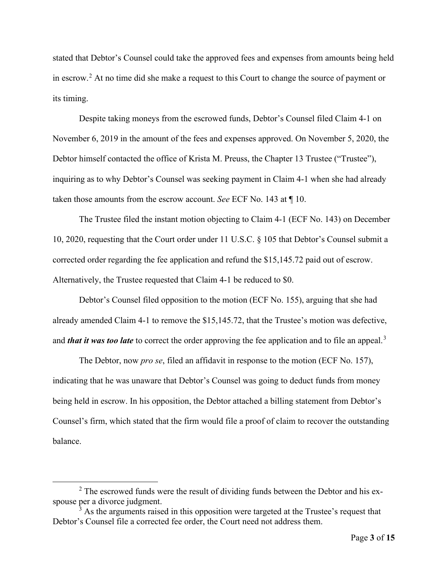stated that Debtor's Counsel could take the approved fees and expenses from amounts being held in escrow.<sup>[2](#page-2-0)</sup> At no time did she make a request to this Court to change the source of payment or its timing.

Despite taking moneys from the escrowed funds, Debtor's Counsel filed Claim 4-1 on November 6, 2019 in the amount of the fees and expenses approved. On November 5, 2020, the Debtor himself contacted the office of Krista M. Preuss, the Chapter 13 Trustee ("Trustee"), inquiring as to why Debtor's Counsel was seeking payment in Claim 4-1 when she had already taken those amounts from the escrow account. *See* ECF No. 143 at ¶ 10.

The Trustee filed the instant motion objecting to Claim 4-1 (ECF No. 143) on December 10, 2020, requesting that the Court order under 11 U.S.C. § 105 that Debtor's Counsel submit a corrected order regarding the fee application and refund the \$15,145.72 paid out of escrow. Alternatively, the Trustee requested that Claim 4-1 be reduced to \$0.

Debtor's Counsel filed opposition to the motion (ECF No. 155), arguing that she had already amended Claim 4-1 to remove the \$15,145.72, that the Trustee's motion was defective, and *that it was too late* to correct the order approving the fee application and to file an appeal.<sup>[3](#page-2-1)</sup>

The Debtor, now *pro se*, filed an affidavit in response to the motion (ECF No. 157), indicating that he was unaware that Debtor's Counsel was going to deduct funds from money being held in escrow. In his opposition, the Debtor attached a billing statement from Debtor's Counsel's firm, which stated that the firm would file a proof of claim to recover the outstanding balance.

<span id="page-2-0"></span><sup>&</sup>lt;sup>2</sup> The escrowed funds were the result of dividing funds between the Debtor and his exspouse per a divorce judgment.

<span id="page-2-1"></span> $3$  As the arguments raised in this opposition were targeted at the Trustee's request that Debtor's Counsel file a corrected fee order, the Court need not address them.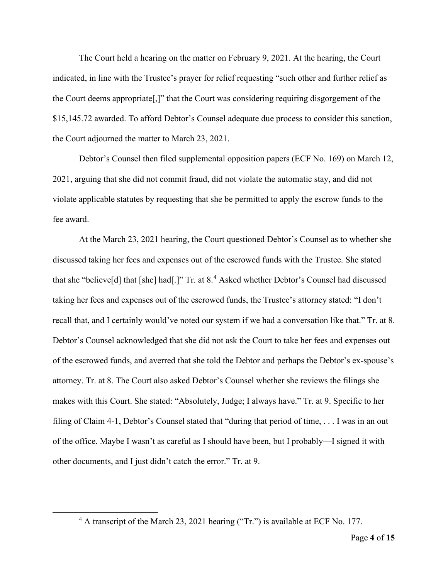The Court held a hearing on the matter on February 9, 2021. At the hearing, the Court indicated, in line with the Trustee's prayer for relief requesting "such other and further relief as the Court deems appropriate[,]" that the Court was considering requiring disgorgement of the \$15,145.72 awarded. To afford Debtor's Counsel adequate due process to consider this sanction, the Court adjourned the matter to March 23, 2021.

Debtor's Counsel then filed supplemental opposition papers (ECF No. 169) on March 12, 2021, arguing that she did not commit fraud, did not violate the automatic stay, and did not violate applicable statutes by requesting that she be permitted to apply the escrow funds to the fee award.

At the March 23, 2021 hearing, the Court questioned Debtor's Counsel as to whether she discussed taking her fees and expenses out of the escrowed funds with the Trustee. She stated that she "believe[d] that [she] had[.]" Tr. at  $8<sup>4</sup>$  $8<sup>4</sup>$  $8<sup>4</sup>$  Asked whether Debtor's Counsel had discussed taking her fees and expenses out of the escrowed funds, the Trustee's attorney stated: "I don't recall that, and I certainly would've noted our system if we had a conversation like that." Tr. at 8. Debtor's Counsel acknowledged that she did not ask the Court to take her fees and expenses out of the escrowed funds, and averred that she told the Debtor and perhaps the Debtor's ex-spouse's attorney. Tr. at 8. The Court also asked Debtor's Counsel whether she reviews the filings she makes with this Court. She stated: "Absolutely, Judge; I always have." Tr. at 9. Specific to her filing of Claim 4-1, Debtor's Counsel stated that "during that period of time, . . . I was in an out of the office. Maybe I wasn't as careful as I should have been, but I probably—I signed it with other documents, and I just didn't catch the error." Tr. at 9.

<span id="page-3-0"></span><sup>4</sup> A transcript of the March 23, 2021 hearing ("Tr.") is available at ECF No. 177.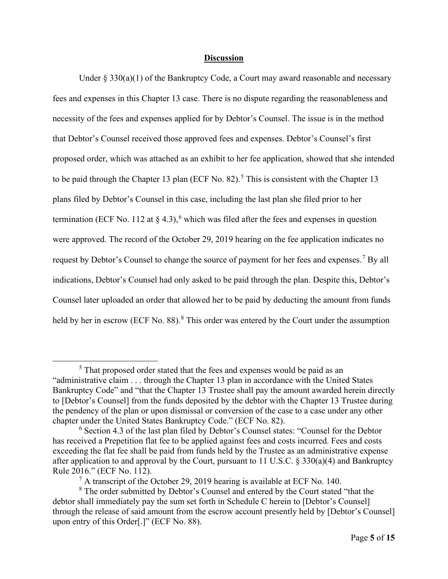#### **Discussion**

Under  $\S 330(a)(1)$  of the Bankruptcy Code, a Court may award reasonable and necessary fees and expenses in this Chapter 13 case. There is no dispute regarding the reasonableness and necessity of the fees and expenses applied for by Debtor's Counsel. The issue is in the method that Debtor's Counsel received those approved fees and expenses. Debtor's Counsel's first proposed order, which was attached as an exhibit to her fee application, showed that she intended to be paid through the Chapter 13 plan (ECF No. 82).<sup>[5](#page-4-0)</sup> This is consistent with the Chapter 13 plans filed by Debtor's Counsel in this case, including the last plan she filed prior to her termination (ECF No. 112 at  $\S$  4.3), <sup>[6](#page-4-1)</sup> which was filed after the fees and expenses in question were approved. The record of the October 29, 2019 hearing on the fee application indicates no request by Debtor's Counsel to change the source of payment for her fees and expenses.<sup>[7](#page-4-2)</sup> By all indications, Debtor's Counsel had only asked to be paid through the plan. Despite this, Debtor's Counsel later uploaded an order that allowed her to be paid by deducting the amount from funds held by her in escrow (ECF No. [8](#page-4-3)8).<sup>8</sup> This order was entered by the Court under the assumption

<span id="page-4-0"></span><sup>&</sup>lt;sup>5</sup> That proposed order stated that the fees and expenses would be paid as an "administrative claim . . . through the Chapter 13 plan in accordance with the United States Bankruptcy Code" and "that the Chapter 13 Trustee shall pay the amount awarded herein directly to [Debtor's Counsel] from the funds deposited by the debtor with the Chapter 13 Trustee during the pendency of the plan or upon dismissal or conversion of the case to a case under any other chapter under the United States Bankruptcy Code." (ECF No. 82).

<span id="page-4-1"></span><sup>6</sup> Section 4.3 of the last plan filed by Debtor's Counsel states: "Counsel for the Debtor has received a Prepetition flat fee to be applied against fees and costs incurred. Fees and costs exceeding the flat fee shall be paid from funds held by the Trustee as an administrative expense after application to and approval by the Court, pursuant to 11 U.S.C. § 330(a)(4) and Bankruptcy Rule 2016." (ECF No. 112).

 $^7$  A transcript of the October 29, 2019 hearing is available at ECF No. 140.

<span id="page-4-3"></span><span id="page-4-2"></span><sup>&</sup>lt;sup>8</sup> The order submitted by Debtor's Counsel and entered by the Court stated "that the debtor shall immediately pay the sum set forth in Schedule C herein to [Debtor's Counsel] through the release of said amount from the escrow account presently held by [Debtor's Counsel] upon entry of this Order[.]" (ECF No. 88).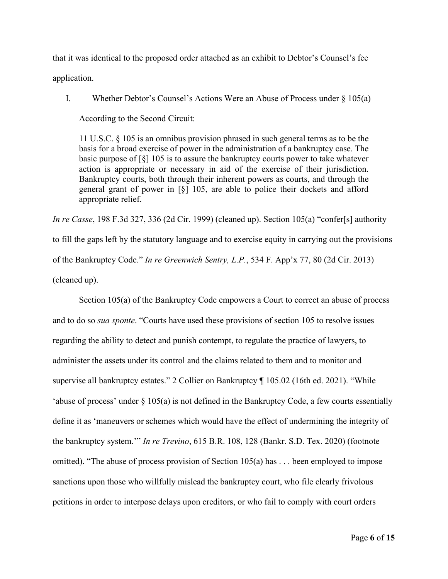that it was identical to the proposed order attached as an exhibit to Debtor's Counsel's fee application.

I. Whether Debtor's Counsel's Actions Were an Abuse of Process under  $\S$  105(a)

According to the Second Circuit:

11 U.S.C. § 105 is an omnibus provision phrased in such general terms as to be the basis for a broad exercise of power in the administration of a bankruptcy case. The basic purpose of  $\lceil \xi \rceil$  105 is to assure the bankruptcy courts power to take whatever action is appropriate or necessary in aid of the exercise of their jurisdiction. Bankruptcy courts, both through their inherent powers as courts, and through the general grant of power in [§] 105, are able to police their dockets and afford appropriate relief.

*In re Casse*, 198 F.3d 327, 336 (2d Cir. 1999) (cleaned up). Section 105(a) "confer[s] authority to fill the gaps left by the statutory language and to exercise equity in carrying out the provisions of the Bankruptcy Code." *In re Greenwich Sentry, L.P.*, 534 F. App'x 77, 80 (2d Cir. 2013) (cleaned up).

Section 105(a) of the Bankruptcy Code empowers a Court to correct an abuse of process and to do so *sua sponte*. "Courts have used these provisions of section 105 to resolve issues regarding the ability to detect and punish contempt, to regulate the practice of lawyers, to administer the assets under its control and the claims related to them and to monitor and supervise all bankruptcy estates." 2 Collier on Bankruptcy ¶ 105.02 (16th ed. 2021). "While 'abuse of process' under § 105(a) is not defined in the Bankruptcy Code, a few courts essentially define it as 'maneuvers or schemes which would have the effect of undermining the integrity of the bankruptcy system.'" *In re Trevino*, 615 B.R. 108, 128 (Bankr. S.D. Tex. 2020) (footnote omitted). "The abuse of process provision of Section 105(a) has . . . been employed to impose sanctions upon those who willfully mislead the bankruptcy court, who file clearly frivolous petitions in order to interpose delays upon creditors, or who fail to comply with court orders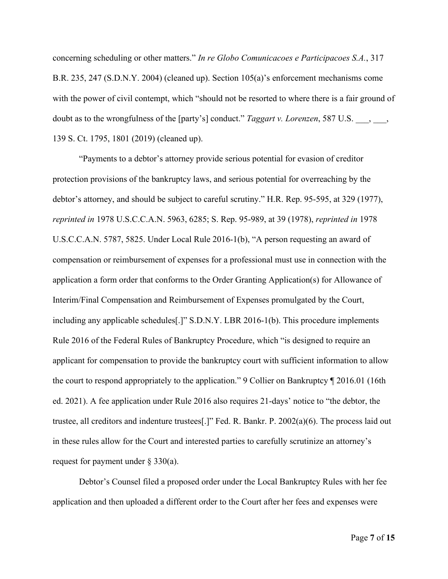concerning scheduling or other matters." *In re Globo Comunicacoes e Participacoes S.A.*, 317 B.R. 235, 247 (S.D.N.Y. 2004) (cleaned up). Section 105(a)'s enforcement mechanisms come with the power of civil contempt, which "should not be resorted to where there is a fair ground of doubt as to the wrongfulness of the [party's] conduct." *Taggart v. Lorenzen*, 587 U.S. \_\_\_, \_\_\_, 139 S. Ct. 1795, 1801 (2019) (cleaned up).

"Payments to a debtor's attorney provide serious potential for evasion of creditor protection provisions of the bankruptcy laws, and serious potential for overreaching by the debtor's attorney, and should be subject to careful scrutiny." H.R. Rep. 95-595, at 329 (1977), *reprinted in* 1978 U.S.C.C.A.N. 5963, 6285; S. Rep. 95-989, at 39 (1978), *reprinted in* 1978 U.S.C.C.A.N. 5787, 5825. Under Local Rule 2016-1(b), "A person requesting an award of compensation or reimbursement of expenses for a professional must use in connection with the application a form order that conforms to the Order Granting Application(s) for Allowance of Interim/Final Compensation and Reimbursement of Expenses promulgated by the Court, including any applicable schedules[.]" S.D.N.Y. LBR 2016-1(b). This procedure implements Rule 2016 of the Federal Rules of Bankruptcy Procedure, which "is designed to require an applicant for compensation to provide the bankruptcy court with sufficient information to allow the court to respond appropriately to the application." 9 Collier on Bankruptcy ¶ 2016.01 (16th ed. 2021). A fee application under Rule 2016 also requires 21-days' notice to "the debtor, the trustee, all creditors and indenture trustees[.]" Fed. R. Bankr. P. 2002(a)(6). The process laid out in these rules allow for the Court and interested parties to carefully scrutinize an attorney's request for payment under  $\S 330(a)$ .

Debtor's Counsel filed a proposed order under the Local Bankruptcy Rules with her fee application and then uploaded a different order to the Court after her fees and expenses were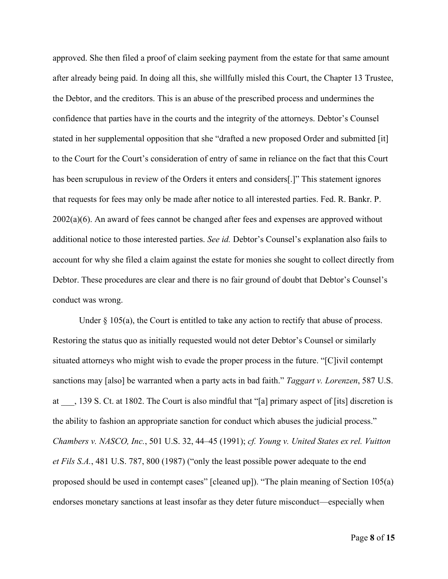approved. She then filed a proof of claim seeking payment from the estate for that same amount after already being paid. In doing all this, she willfully misled this Court, the Chapter 13 Trustee, the Debtor, and the creditors. This is an abuse of the prescribed process and undermines the confidence that parties have in the courts and the integrity of the attorneys. Debtor's Counsel stated in her supplemental opposition that she "drafted a new proposed Order and submitted [it] to the Court for the Court's consideration of entry of same in reliance on the fact that this Court has been scrupulous in review of the Orders it enters and considers[.]" This statement ignores that requests for fees may only be made after notice to all interested parties. Fed. R. Bankr. P. 2002(a)(6). An award of fees cannot be changed after fees and expenses are approved without additional notice to those interested parties. *See id.* Debtor's Counsel's explanation also fails to account for why she filed a claim against the estate for monies she sought to collect directly from Debtor. These procedures are clear and there is no fair ground of doubt that Debtor's Counsel's conduct was wrong.

Under  $\S$  105(a), the Court is entitled to take any action to rectify that abuse of process. Restoring the status quo as initially requested would not deter Debtor's Counsel or similarly situated attorneys who might wish to evade the proper process in the future. "[C]ivil contempt sanctions may [also] be warranted when a party acts in bad faith." *Taggart v. Lorenzen*, 587 U.S. at \_\_\_, 139 S. Ct. at 1802. The Court is also mindful that "[a] primary aspect of [its] discretion is the ability to fashion an appropriate sanction for conduct which abuses the judicial process." *Chambers v. NASCO, Inc.*, 501 U.S. 32, 44–45 (1991); *cf. Young v. United States ex rel. Vuitton et Fils S.A.*, 481 U.S. 787, 800 (1987) ("only the least possible power adequate to the end proposed should be used in contempt cases" [cleaned up]). "The plain meaning of Section 105(a) endorses monetary sanctions at least insofar as they deter future misconduct—especially when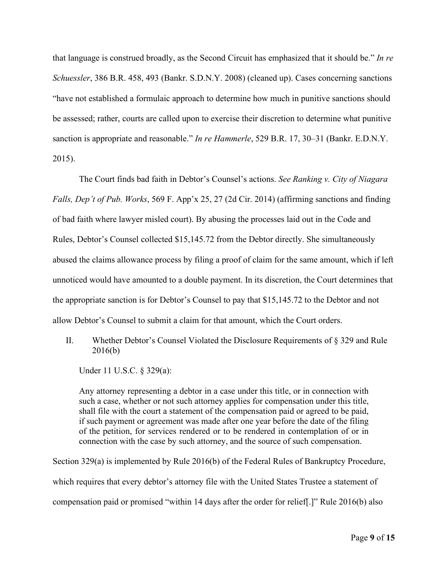that language is construed broadly, as the Second Circuit has emphasized that it should be." *In re Schuessler*, 386 B.R. 458, 493 (Bankr. S.D.N.Y. 2008) (cleaned up). Cases concerning sanctions "have not established a formulaic approach to determine how much in punitive sanctions should be assessed; rather, courts are called upon to exercise their discretion to determine what punitive sanction is appropriate and reasonable." *In re Hammerle*, 529 B.R. 17, 30–31 (Bankr. E.D.N.Y. 2015).

The Court finds bad faith in Debtor's Counsel's actions. *See Ranking v. City of Niagara Falls, Dep't of Pub. Works*, 569 F. App'x 25, 27 (2d Cir. 2014) (affirming sanctions and finding of bad faith where lawyer misled court). By abusing the processes laid out in the Code and Rules, Debtor's Counsel collected \$15,145.72 from the Debtor directly. She simultaneously abused the claims allowance process by filing a proof of claim for the same amount, which if left unnoticed would have amounted to a double payment. In its discretion, the Court determines that the appropriate sanction is for Debtor's Counsel to pay that \$15,145.72 to the Debtor and not allow Debtor's Counsel to submit a claim for that amount, which the Court orders.

II. Whether Debtor's Counsel Violated the Disclosure Requirements of § 329 and Rule 2016(b)

Under 11 U.S.C. § 329(a):

Any attorney representing a debtor in a case under this title, or in connection with such a case, whether or not such attorney applies for compensation under this title, shall file with the court a statement of the compensation paid or agreed to be paid, if such payment or agreement was made after one year before the date of the filing of the petition, for services rendered or to be rendered in contemplation of or in connection with the case by such attorney, and the source of such compensation.

Section 329(a) is implemented by Rule 2016(b) of the Federal Rules of Bankruptcy Procedure, which requires that every debtor's attorney file with the United States Trustee a statement of compensation paid or promised "within 14 days after the order for relief[.]" Rule 2016(b) also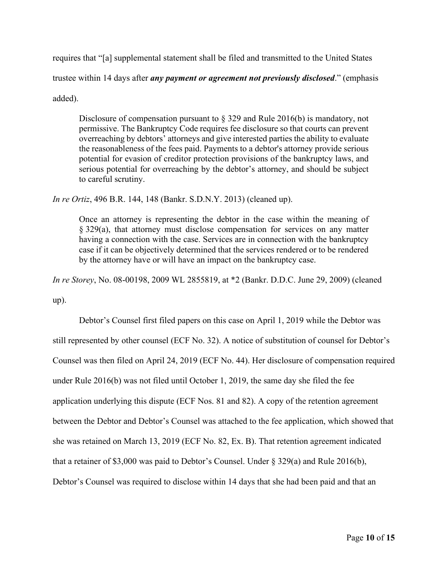requires that "[a] supplemental statement shall be filed and transmitted to the United States trustee within 14 days after *any payment or agreement not previously disclosed*." (emphasis added).

Disclosure of compensation pursuant to § 329 and Rule 2016(b) is mandatory, not permissive. The Bankruptcy Code requires fee disclosure so that courts can prevent overreaching by debtors' attorneys and give interested parties the ability to evaluate the reasonableness of the fees paid. Payments to a debtor's attorney provide serious potential for evasion of creditor protection provisions of the bankruptcy laws, and serious potential for overreaching by the debtor's attorney, and should be subject to careful scrutiny.

*In re Ortiz*, 496 B.R. 144, 148 (Bankr. S.D.N.Y. 2013) (cleaned up).

Once an attorney is representing the debtor in the case within the meaning of § 329(a), that attorney must disclose compensation for services on any matter having a connection with the case. Services are in connection with the bankruptcy case if it can be objectively determined that the services rendered or to be rendered by the attorney have or will have an impact on the bankruptcy case.

*In re Storey*, No. 08-00198, 2009 WL 2855819, at \*2 (Bankr. D.D.C. June 29, 2009) (cleaned up).

Debtor's Counsel first filed papers on this case on April 1, 2019 while the Debtor was still represented by other counsel (ECF No. 32). A notice of substitution of counsel for Debtor's Counsel was then filed on April 24, 2019 (ECF No. 44). Her disclosure of compensation required under Rule 2016(b) was not filed until October 1, 2019, the same day she filed the fee application underlying this dispute (ECF Nos. 81 and 82). A copy of the retention agreement between the Debtor and Debtor's Counsel was attached to the fee application, which showed that she was retained on March 13, 2019 (ECF No. 82, Ex. B). That retention agreement indicated that a retainer of \$3,000 was paid to Debtor's Counsel. Under § 329(a) and Rule 2016(b), Debtor's Counsel was required to disclose within 14 days that she had been paid and that an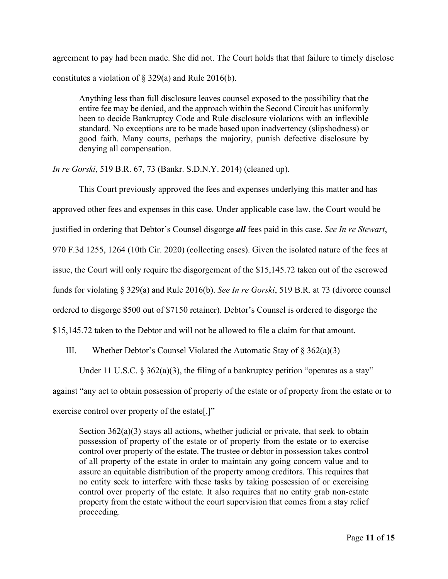agreement to pay had been made. She did not. The Court holds that that failure to timely disclose constitutes a violation of  $\S$  329(a) and Rule 2016(b).

Anything less than full disclosure leaves counsel exposed to the possibility that the entire fee may be denied, and the approach within the Second Circuit has uniformly been to decide Bankruptcy Code and Rule disclosure violations with an inflexible standard. No exceptions are to be made based upon inadvertency (slipshodness) or good faith. Many courts, perhaps the majority, punish defective disclosure by denying all compensation.

*In re Gorski*, 519 B.R. 67, 73 (Bankr. S.D.N.Y. 2014) (cleaned up).

This Court previously approved the fees and expenses underlying this matter and has approved other fees and expenses in this case. Under applicable case law, the Court would be justified in ordering that Debtor's Counsel disgorge *all* fees paid in this case. *See In re Stewart*, 970 F.3d 1255, 1264 (10th Cir. 2020) (collecting cases). Given the isolated nature of the fees at issue, the Court will only require the disgorgement of the \$15,145.72 taken out of the escrowed funds for violating § 329(a) and Rule 2016(b). *See In re Gorski*, 519 B.R. at 73 (divorce counsel ordered to disgorge \$500 out of \$7150 retainer). Debtor's Counsel is ordered to disgorge the \$15,145.72 taken to the Debtor and will not be allowed to file a claim for that amount.

III. Whether Debtor's Counsel Violated the Automatic Stay of  $\S 362(a)(3)$ 

Under 11 U.S.C.  $\delta$  362(a)(3), the filing of a bankruptcy petition "operates as a stay"

against "any act to obtain possession of property of the estate or of property from the estate or to

exercise control over property of the estate[.]"

Section 362(a)(3) stays all actions, whether judicial or private, that seek to obtain possession of property of the estate or of property from the estate or to exercise control over property of the estate. The trustee or debtor in possession takes control of all property of the estate in order to maintain any going concern value and to assure an equitable distribution of the property among creditors. This requires that no entity seek to interfere with these tasks by taking possession of or exercising control over property of the estate. It also requires that no entity grab non-estate property from the estate without the court supervision that comes from a stay relief proceeding.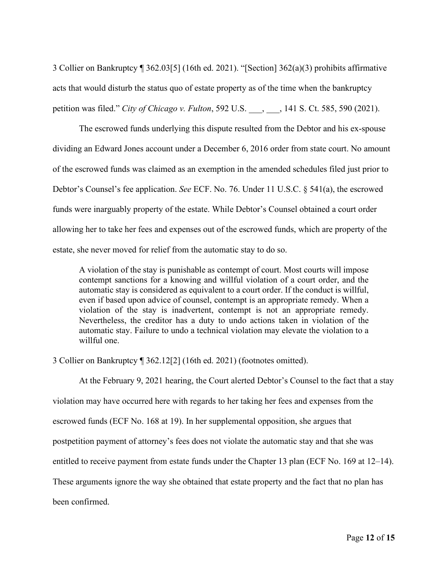3 Collier on Bankruptcy ¶ 362.03[5] (16th ed. 2021). "[Section] 362(a)(3) prohibits affirmative acts that would disturb the status quo of estate property as of the time when the bankruptcy petition was filed." *City of Chicago v. Fulton*, 592 U.S. \_\_\_, \_\_\_, 141 S. Ct. 585, 590 (2021).

The escrowed funds underlying this dispute resulted from the Debtor and his ex-spouse dividing an Edward Jones account under a December 6, 2016 order from state court. No amount of the escrowed funds was claimed as an exemption in the amended schedules filed just prior to Debtor's Counsel's fee application. *See* ECF. No. 76. Under 11 U.S.C. § 541(a), the escrowed funds were inarguably property of the estate. While Debtor's Counsel obtained a court order allowing her to take her fees and expenses out of the escrowed funds, which are property of the estate, she never moved for relief from the automatic stay to do so.

A violation of the stay is punishable as contempt of court. Most courts will impose contempt sanctions for a knowing and willful violation of a court order, and the automatic stay is considered as equivalent to a court order. If the conduct is willful, even if based upon advice of counsel, contempt is an appropriate remedy. When a violation of the stay is inadvertent, contempt is not an appropriate remedy. Nevertheless, the creditor has a duty to undo actions taken in violation of the automatic stay. Failure to undo a technical violation may elevate the violation to a willful one.

3 Collier on Bankruptcy ¶ 362.12[2] (16th ed. 2021) (footnotes omitted).

At the February 9, 2021 hearing, the Court alerted Debtor's Counsel to the fact that a stay violation may have occurred here with regards to her taking her fees and expenses from the escrowed funds (ECF No. 168 at 19). In her supplemental opposition, she argues that postpetition payment of attorney's fees does not violate the automatic stay and that she was entitled to receive payment from estate funds under the Chapter 13 plan (ECF No. 169 at 12–14). These arguments ignore the way she obtained that estate property and the fact that no plan has been confirmed.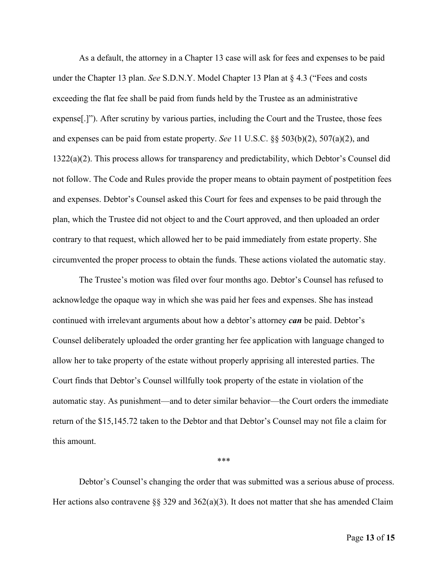As a default, the attorney in a Chapter 13 case will ask for fees and expenses to be paid under the Chapter 13 plan. *See* S.D.N.Y. Model Chapter 13 Plan at § 4.3 ("Fees and costs exceeding the flat fee shall be paid from funds held by the Trustee as an administrative expense[.]"). After scrutiny by various parties, including the Court and the Trustee, those fees and expenses can be paid from estate property. *See* 11 U.S.C. §§ 503(b)(2), 507(a)(2), and 1322(a)(2). This process allows for transparency and predictability, which Debtor's Counsel did not follow. The Code and Rules provide the proper means to obtain payment of postpetition fees and expenses. Debtor's Counsel asked this Court for fees and expenses to be paid through the plan, which the Trustee did not object to and the Court approved, and then uploaded an order contrary to that request, which allowed her to be paid immediately from estate property. She circumvented the proper process to obtain the funds. These actions violated the automatic stay.

The Trustee's motion was filed over four months ago. Debtor's Counsel has refused to acknowledge the opaque way in which she was paid her fees and expenses. She has instead continued with irrelevant arguments about how a debtor's attorney *can* be paid. Debtor's Counsel deliberately uploaded the order granting her fee application with language changed to allow her to take property of the estate without properly apprising all interested parties. The Court finds that Debtor's Counsel willfully took property of the estate in violation of the automatic stay. As punishment—and to deter similar behavior—the Court orders the immediate return of the \$15,145.72 taken to the Debtor and that Debtor's Counsel may not file a claim for this amount.

#### \*\*\*

Debtor's Counsel's changing the order that was submitted was a serious abuse of process. Her actions also contravene §§ 329 and  $362(a)(3)$ . It does not matter that she has amended Claim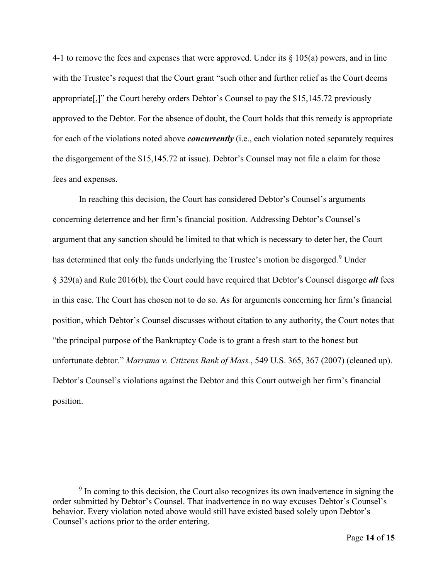4-1 to remove the fees and expenses that were approved. Under its § 105(a) powers, and in line with the Trustee's request that the Court grant "such other and further relief as the Court deems appropriate[,]" the Court hereby orders Debtor's Counsel to pay the \$15,145.72 previously approved to the Debtor. For the absence of doubt, the Court holds that this remedy is appropriate for each of the violations noted above *concurrently* (i.e., each violation noted separately requires the disgorgement of the \$15,145.72 at issue). Debtor's Counsel may not file a claim for those fees and expenses.

In reaching this decision, the Court has considered Debtor's Counsel's arguments concerning deterrence and her firm's financial position. Addressing Debtor's Counsel's argument that any sanction should be limited to that which is necessary to deter her, the Court has determined that only the funds underlying the Trustee's motion be disgorged.<sup>[9](#page-13-0)</sup> Under § 329(a) and Rule 2016(b), the Court could have required that Debtor's Counsel disgorge *all* fees in this case. The Court has chosen not to do so. As for arguments concerning her firm's financial position, which Debtor's Counsel discusses without citation to any authority, the Court notes that "the principal purpose of the Bankruptcy Code is to grant a fresh start to the honest but unfortunate debtor." *Marrama v. Citizens Bank of Mass.*, 549 U.S. 365, 367 (2007) (cleaned up). Debtor's Counsel's violations against the Debtor and this Court outweigh her firm's financial position.

<span id="page-13-0"></span><sup>&</sup>lt;sup>9</sup> In coming to this decision, the Court also recognizes its own inadvertence in signing the order submitted by Debtor's Counsel. That inadvertence in no way excuses Debtor's Counsel's behavior. Every violation noted above would still have existed based solely upon Debtor's Counsel's actions prior to the order entering.